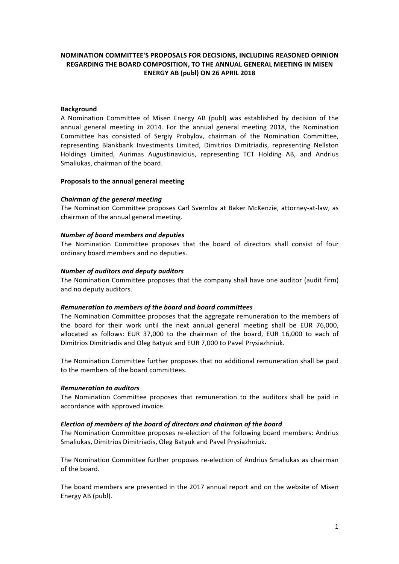# **NOMINATION COMMITTEE'S PROPOSALS FOR DECISIONS, INCLUDING REASONED OPINION REGARDING THE BOARD COMPOSITION, TO THE ANNUAL GENERAL MEETING IN MISEN ENERGY AB (publ) ON 26 APRIL 2018**

## **Background**

A Nomination Committee of Misen Energy AB (publ) was established by decision of the annual general meeting in 2014. For the annual general meeting 2018, the Nomination Committee has consisted of Sergiy Probylov, chairman of the Nomination Committee, representing Blankbank Investments Limited, Dimitrios Dimitriadis, representing Nellston Holdings Limited, Aurimas Augustinavicius, representing TCT Holding AB, and Andrius Smaliukas, chairman of the board.

### **Proposals to the annual general meeting**

### *Chairman of the aeneral meeting*

The Nomination Committee proposes Carl Svernlöv at Baker McKenzie, attorney-at-law, as chairman of the annual general meeting.

### *Number of board members and deputies*

The Nomination Committee proposes that the board of directors shall consist of four ordinary board members and no deputies.

### *Number of auditors and deputy auditors*

The Nomination Committee proposes that the company shall have one auditor (audit firm) and no deputy auditors.

### *Remuneration to members of the board and board committees*

The Nomination Committee proposes that the aggregate remuneration to the members of the board for their work until the next annual general meeting shall be EUR 76,000, allocated as follows: EUR 37,000 to the chairman of the board, EUR 16,000 to each of Dimitrios Dimitriadis and Oleg Batyuk and EUR 7,000 to Pavel Prysiazhniuk.

The Nomination Committee further proposes that no additional remuneration shall be paid to the members of the board committees.

### *Remuneration to auditors*

The Nomination Committee proposes that remuneration to the auditors shall be paid in accordance with approved invoice.

### *Election of members of the board of directors and chairman of the board*

The Nomination Committee proposes re-election of the following board members: Andrius Smaliukas, Dimitrios Dimitriadis, Oleg Batyuk and Pavel Prysiazhniuk.

The Nomination Committee further proposes re-election of Andrius Smaliukas as chairman of the board.

The board members are presented in the 2017 annual report and on the website of Misen Energy AB (publ).